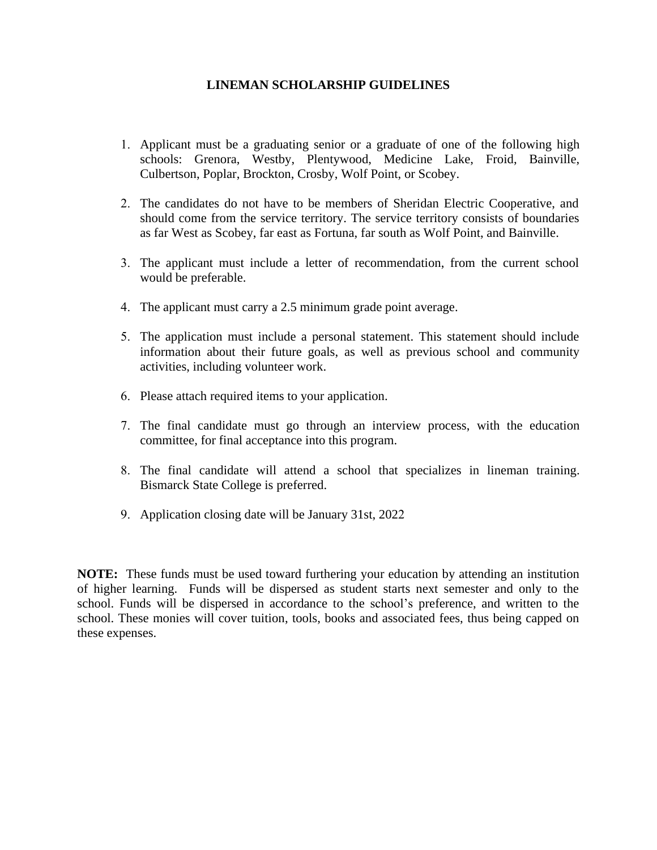## **LINEMAN SCHOLARSHIP GUIDELINES**

- 1. Applicant must be a graduating senior or a graduate of one of the following high schools: Grenora, Westby, Plentywood, Medicine Lake, Froid, Bainville, Culbertson, Poplar, Brockton, Crosby, Wolf Point, or Scobey.
- 2. The candidates do not have to be members of Sheridan Electric Cooperative, and should come from the service territory. The service territory consists of boundaries as far West as Scobey, far east as Fortuna, far south as Wolf Point, and Bainville.
- 3. The applicant must include a letter of recommendation, from the current school would be preferable.
- 4. The applicant must carry a 2.5 minimum grade point average.
- 5. The application must include a personal statement. This statement should include information about their future goals, as well as previous school and community activities, including volunteer work.
- 6. Please attach required items to your application.
- 7. The final candidate must go through an interview process, with the education committee, for final acceptance into this program.
- 8. The final candidate will attend a school that specializes in lineman training. Bismarck State College is preferred.
- 9. Application closing date will be January 31st, 2022

**NOTE:** These funds must be used toward furthering your education by attending an institution of higher learning. Funds will be dispersed as student starts next semester and only to the school. Funds will be dispersed in accordance to the school's preference, and written to the school. These monies will cover tuition, tools, books and associated fees, thus being capped on these expenses.